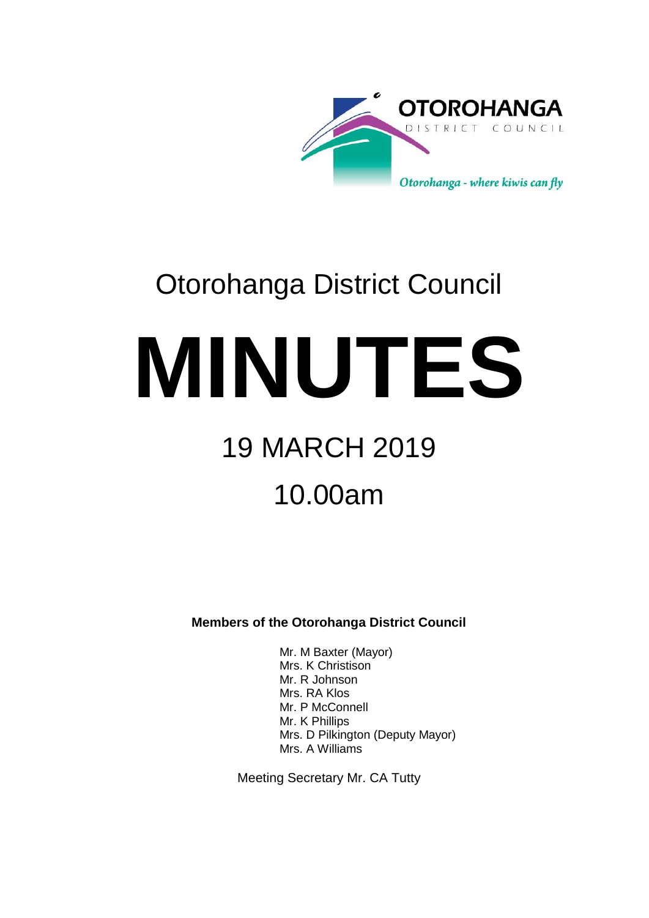

# Otorohanga District Council

**MINUTES**

# 19 MARCH 2019

# 10.00am

**Members of the Otorohanga District Council**

Mr. M Baxter (Mayor) Mrs. K Christison Mr. R Johnson Mrs. RA Klos Mr. P McConnell Mr. K Phillips Mrs. D Pilkington (Deputy Mayor) Mrs. A Williams

Meeting Secretary Mr. CA Tutty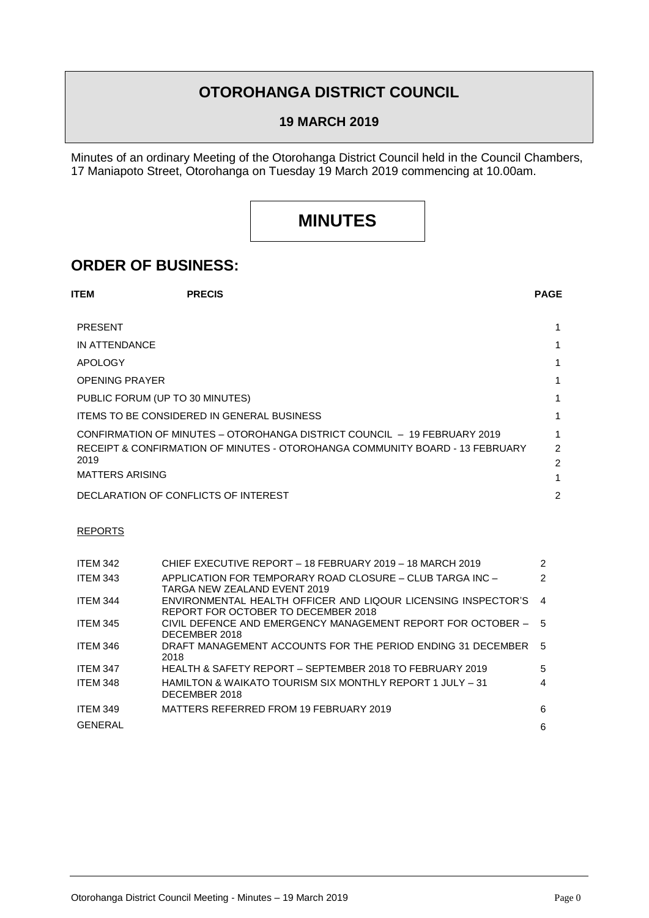## **OTOROHANGA DISTRICT COUNCIL**

#### **19 MARCH 2019**

Minutes of an ordinary Meeting of the Otorohanga District Council held in the Council Chambers, 17 Maniapoto Street, Otorohanga on Tuesday 19 March 2019 commencing at 10.00am.

## **MINUTES**

### **ORDER OF BUSINESS:**

| <b>ITEM</b>            | <b>PRECIS</b>                                     |                                                                              | <b>PAGE</b>    |
|------------------------|---------------------------------------------------|------------------------------------------------------------------------------|----------------|
| <b>PRESENT</b>         |                                                   |                                                                              |                |
| IN ATTENDANCE          |                                                   |                                                                              |                |
| <b>APOLOGY</b>         |                                                   |                                                                              |                |
| <b>OPENING PRAYER</b>  |                                                   |                                                                              |                |
|                        | PUBLIC FORUM (UP TO 30 MINUTES)                   |                                                                              | 1              |
|                        | <b>ITEMS TO BE CONSIDERED IN GENERAL BUSINESS</b> |                                                                              | 1              |
|                        |                                                   | CONFIRMATION OF MINUTES – OTOROHANGA DISTRICT COUNCIL – 19 FEBRUARY 2019     |                |
|                        |                                                   | RECEIPT & CONFIRMATION OF MINUTES - OTOROHANGA COMMUNITY BOARD - 13 FEBRUARY | $\mathfrak{p}$ |
| 2019                   |                                                   |                                                                              | 2              |
| <b>MATTERS ARISING</b> |                                                   |                                                                              |                |
|                        | DECLARATION OF CONFLICTS OF INTEREST              |                                                                              | 2              |

#### REPORTS

| <b>ITEM 342</b> | CHIEF EXECUTIVE REPORT - 18 FEBRUARY 2019 - 18 MARCH 2019                                            | $\mathcal{P}$ |
|-----------------|------------------------------------------------------------------------------------------------------|---------------|
| <b>ITEM 343</b> | APPLICATION FOR TEMPORARY ROAD CLOSURE - CLUB TARGA INC -<br>TARGA NEW ZEALAND EVENT 2019            | $\mathcal{P}$ |
| <b>ITEM 344</b> | ENVIRONMENTAL HEALTH OFFICER AND LIQOUR LICENSING INSPECTOR'S<br>REPORT FOR OCTOBER TO DECEMBER 2018 | 4             |
| <b>ITEM 345</b> | CIVIL DEFENCE AND EMERGENCY MANAGEMENT REPORT FOR OCTOBER - 5<br>DECEMBER 2018                       |               |
| <b>ITEM 346</b> | DRAFT MANAGEMENT ACCOUNTS FOR THE PERIOD ENDING 31 DECEMBER<br>2018                                  | .5            |
| ITEM 347        | HEALTH & SAFETY REPORT – SEPTEMBER 2018 TO FEBRUARY 2019                                             | 5             |
| <b>ITEM 348</b> | HAMILTON & WAIKATO TOURISM SIX MONTHLY REPORT 1 JULY – 31<br>DECEMBER 2018                           | 4             |
| <b>ITEM 349</b> | MATTERS REFERRED FROM 19 FEBRUARY 2019                                                               | 6             |
| <b>GENERAL</b>  |                                                                                                      | 6             |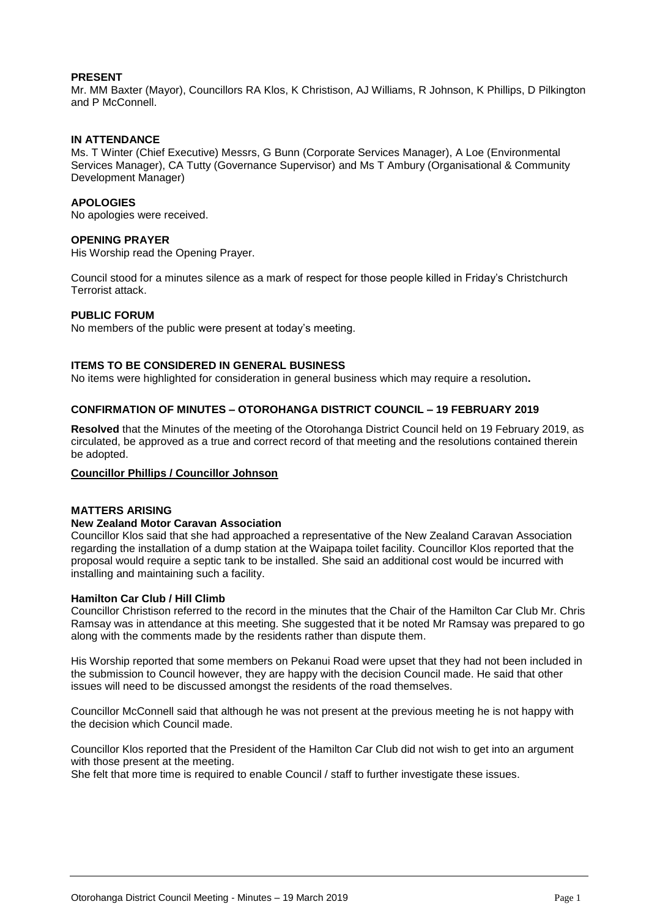#### **PRESENT**

Mr. MM Baxter (Mayor), Councillors RA Klos, K Christison, AJ Williams, R Johnson, K Phillips, D Pilkington and P McConnell.

#### **IN ATTENDANCE**

Ms. T Winter (Chief Executive) Messrs, G Bunn (Corporate Services Manager), A Loe (Environmental Services Manager), CA Tutty (Governance Supervisor) and Ms T Ambury (Organisational & Community Development Manager)

#### **APOLOGIES**

No apologies were received.

#### **OPENING PRAYER**

His Worship read the Opening Prayer.

Council stood for a minutes silence as a mark of respect for those people killed in Friday's Christchurch Terrorist attack.

#### **PUBLIC FORUM**

No members of the public were present at today's meeting.

#### **ITEMS TO BE CONSIDERED IN GENERAL BUSINESS**

No items were highlighted for consideration in general business which may require a resolution**.**

#### **CONFIRMATION OF MINUTES – OTOROHANGA DISTRICT COUNCIL – 19 FEBRUARY 2019**

**Resolved** that the Minutes of the meeting of the Otorohanga District Council held on 19 February 2019, as circulated, be approved as a true and correct record of that meeting and the resolutions contained therein be adopted.

#### **Councillor Phillips / Councillor Johnson**

#### **MATTERS ARISING**

#### **New Zealand Motor Caravan Association**

Councillor Klos said that she had approached a representative of the New Zealand Caravan Association regarding the installation of a dump station at the Waipapa toilet facility. Councillor Klos reported that the proposal would require a septic tank to be installed. She said an additional cost would be incurred with installing and maintaining such a facility.

#### **Hamilton Car Club / Hill Climb**

Councillor Christison referred to the record in the minutes that the Chair of the Hamilton Car Club Mr. Chris Ramsay was in attendance at this meeting. She suggested that it be noted Mr Ramsay was prepared to go along with the comments made by the residents rather than dispute them.

His Worship reported that some members on Pekanui Road were upset that they had not been included in the submission to Council however, they are happy with the decision Council made. He said that other issues will need to be discussed amongst the residents of the road themselves.

Councillor McConnell said that although he was not present at the previous meeting he is not happy with the decision which Council made.

Councillor Klos reported that the President of the Hamilton Car Club did not wish to get into an argument with those present at the meeting.

She felt that more time is required to enable Council / staff to further investigate these issues.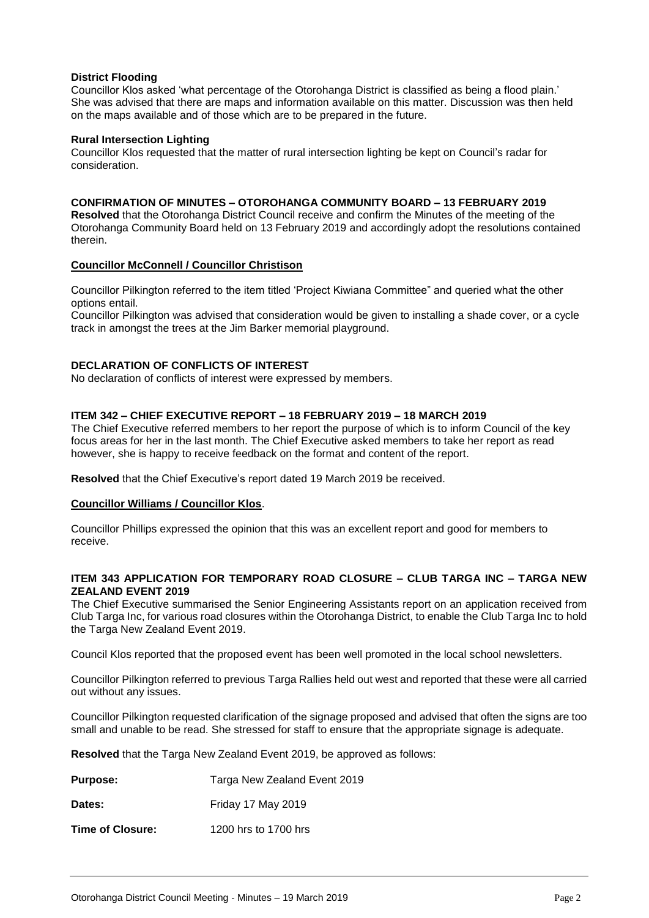#### **District Flooding**

Councillor Klos asked 'what percentage of the Otorohanga District is classified as being a flood plain.' She was advised that there are maps and information available on this matter. Discussion was then held on the maps available and of those which are to be prepared in the future.

#### **Rural Intersection Lighting**

Councillor Klos requested that the matter of rural intersection lighting be kept on Council's radar for consideration.

#### **CONFIRMATION OF MINUTES – OTOROHANGA COMMUNITY BOARD – 13 FEBRUARY 2019**

**Resolved** that the Otorohanga District Council receive and confirm the Minutes of the meeting of the Otorohanga Community Board held on 13 February 2019 and accordingly adopt the resolutions contained therein.

#### **Councillor McConnell / Councillor Christison**

Councillor Pilkington referred to the item titled 'Project Kiwiana Committee" and queried what the other options entail.

Councillor Pilkington was advised that consideration would be given to installing a shade cover, or a cycle track in amongst the trees at the Jim Barker memorial playground.

#### **DECLARATION OF CONFLICTS OF INTEREST**

No declaration of conflicts of interest were expressed by members.

#### **ITEM 342 – CHIEF EXECUTIVE REPORT – 18 FEBRUARY 2019 – 18 MARCH 2019**

The Chief Executive referred members to her report the purpose of which is to inform Council of the key focus areas for her in the last month. The Chief Executive asked members to take her report as read however, she is happy to receive feedback on the format and content of the report.

**Resolved** that the Chief Executive's report dated 19 March 2019 be received.

#### **Councillor Williams / Councillor Klos**.

Councillor Phillips expressed the opinion that this was an excellent report and good for members to receive.

#### **ITEM 343 APPLICATION FOR TEMPORARY ROAD CLOSURE – CLUB TARGA INC – TARGA NEW ZEALAND EVENT 2019**

The Chief Executive summarised the Senior Engineering Assistants report on an application received from Club Targa Inc, for various road closures within the Otorohanga District, to enable the Club Targa Inc to hold the Targa New Zealand Event 2019.

Council Klos reported that the proposed event has been well promoted in the local school newsletters.

Councillor Pilkington referred to previous Targa Rallies held out west and reported that these were all carried out without any issues.

Councillor Pilkington requested clarification of the signage proposed and advised that often the signs are too small and unable to be read. She stressed for staff to ensure that the appropriate signage is adequate.

**Resolved** that the Targa New Zealand Event 2019, be approved as follows:

| <b>Purpose:</b> | Targa New Zealand Event 2019 |
|-----------------|------------------------------|
|-----------------|------------------------------|

**Dates:** Friday 17 May 2019

**Time of Closure:** 1200 hrs to 1700 hrs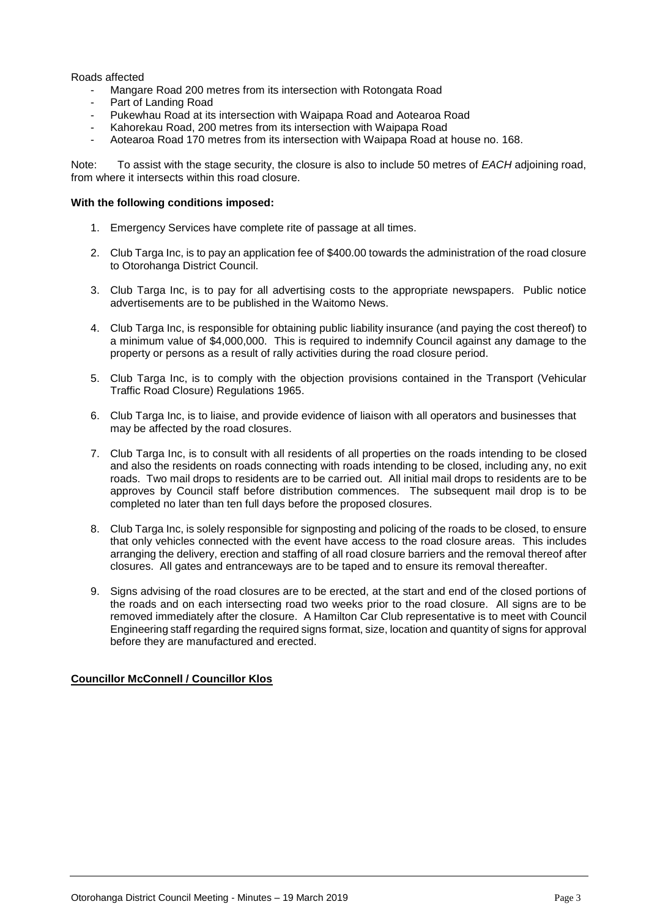#### Roads affected

- Mangare Road 200 metres from its intersection with Rotongata Road
- Part of Landing Road
- Pukewhau Road at its intersection with Waipapa Road and Aotearoa Road
- Kahorekau Road, 200 metres from its intersection with Waipapa Road
- Aotearoa Road 170 metres from its intersection with Waipapa Road at house no. 168.

Note: To assist with the stage security, the closure is also to include 50 metres of *EACH* adjoining road, from where it intersects within this road closure.

#### **With the following conditions imposed:**

- 1. Emergency Services have complete rite of passage at all times.
- 2. Club Targa Inc, is to pay an application fee of \$400.00 towards the administration of the road closure to Otorohanga District Council.
- 3. Club Targa Inc, is to pay for all advertising costs to the appropriate newspapers. Public notice advertisements are to be published in the Waitomo News.
- 4. Club Targa Inc, is responsible for obtaining public liability insurance (and paying the cost thereof) to a minimum value of \$4,000,000. This is required to indemnify Council against any damage to the property or persons as a result of rally activities during the road closure period.
- 5. Club Targa Inc, is to comply with the objection provisions contained in the Transport (Vehicular Traffic Road Closure) Regulations 1965.
- 6. Club Targa Inc, is to liaise, and provide evidence of liaison with all operators and businesses that may be affected by the road closures.
- 7. Club Targa Inc, is to consult with all residents of all properties on the roads intending to be closed and also the residents on roads connecting with roads intending to be closed, including any, no exit roads. Two mail drops to residents are to be carried out. All initial mail drops to residents are to be approves by Council staff before distribution commences. The subsequent mail drop is to be completed no later than ten full days before the proposed closures.
- 8. Club Targa Inc, is solely responsible for signposting and policing of the roads to be closed, to ensure that only vehicles connected with the event have access to the road closure areas. This includes arranging the delivery, erection and staffing of all road closure barriers and the removal thereof after closures. All gates and entranceways are to be taped and to ensure its removal thereafter.
- 9. Signs advising of the road closures are to be erected, at the start and end of the closed portions of the roads and on each intersecting road two weeks prior to the road closure. All signs are to be removed immediately after the closure. A Hamilton Car Club representative is to meet with Council Engineering staff regarding the required signs format, size, location and quantity of signs for approval before they are manufactured and erected.

#### **Councillor McConnell / Councillor Klos**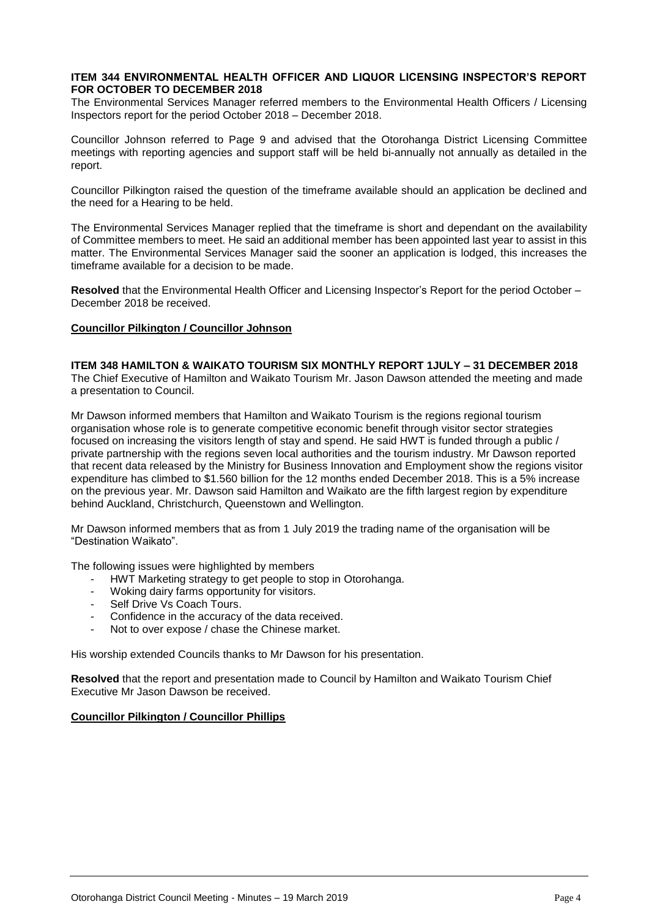#### **ITEM 344 ENVIRONMENTAL HEALTH OFFICER AND LIQUOR LICENSING INSPECTOR'S REPORT FOR OCTOBER TO DECEMBER 2018**

The Environmental Services Manager referred members to the Environmental Health Officers / Licensing Inspectors report for the period October 2018 – December 2018.

Councillor Johnson referred to Page 9 and advised that the Otorohanga District Licensing Committee meetings with reporting agencies and support staff will be held bi-annually not annually as detailed in the report.

Councillor Pilkington raised the question of the timeframe available should an application be declined and the need for a Hearing to be held.

The Environmental Services Manager replied that the timeframe is short and dependant on the availability of Committee members to meet. He said an additional member has been appointed last year to assist in this matter. The Environmental Services Manager said the sooner an application is lodged, this increases the timeframe available for a decision to be made.

**Resolved** that the Environmental Health Officer and Licensing Inspector's Report for the period October – December 2018 be received.

#### **Councillor Pilkington / Councillor Johnson**

**ITEM 348 HAMILTON & WAIKATO TOURISM SIX MONTHLY REPORT 1JULY – 31 DECEMBER 2018** The Chief Executive of Hamilton and Waikato Tourism Mr. Jason Dawson attended the meeting and made a presentation to Council.

Mr Dawson informed members that Hamilton and Waikato Tourism is the regions regional tourism organisation whose role is to generate competitive economic benefit through visitor sector strategies focused on increasing the visitors length of stay and spend. He said HWT is funded through a public / private partnership with the regions seven local authorities and the tourism industry. Mr Dawson reported that recent data released by the Ministry for Business Innovation and Employment show the regions visitor expenditure has climbed to \$1.560 billion for the 12 months ended December 2018. This is a 5% increase on the previous year. Mr. Dawson said Hamilton and Waikato are the fifth largest region by expenditure behind Auckland, Christchurch, Queenstown and Wellington.

Mr Dawson informed members that as from 1 July 2019 the trading name of the organisation will be "Destination Waikato".

The following issues were highlighted by members

- HWT Marketing strategy to get people to stop in Otorohanga.
- Woking dairy farms opportunity for visitors.
- Self Drive Vs Coach Tours.
- Confidence in the accuracy of the data received.
- Not to over expose / chase the Chinese market.

His worship extended Councils thanks to Mr Dawson for his presentation.

**Resolved** that the report and presentation made to Council by Hamilton and Waikato Tourism Chief Executive Mr Jason Dawson be received.

#### **Councillor Pilkington / Councillor Phillips**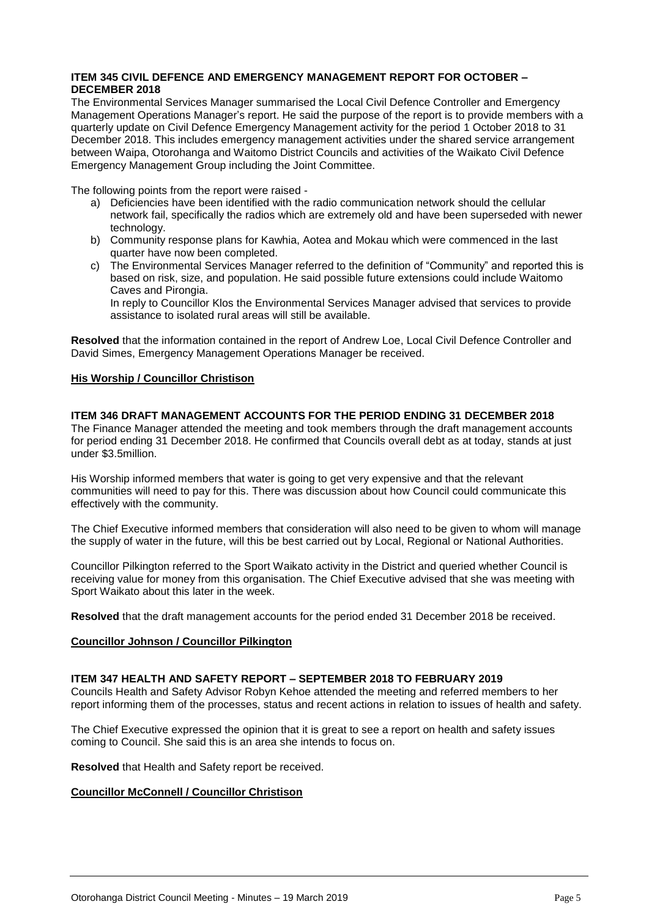#### **ITEM 345 CIVIL DEFENCE AND EMERGENCY MANAGEMENT REPORT FOR OCTOBER – DECEMBER 2018**

The Environmental Services Manager summarised the Local Civil Defence Controller and Emergency Management Operations Manager's report. He said the purpose of the report is to provide members with a quarterly update on Civil Defence Emergency Management activity for the period 1 October 2018 to 31 December 2018. This includes emergency management activities under the shared service arrangement between Waipa, Otorohanga and Waitomo District Councils and activities of the Waikato Civil Defence Emergency Management Group including the Joint Committee.

The following points from the report were raised -

- a) Deficiencies have been identified with the radio communication network should the cellular network fail, specifically the radios which are extremely old and have been superseded with newer technology.
- b) Community response plans for Kawhia, Aotea and Mokau which were commenced in the last quarter have now been completed.
- c) The Environmental Services Manager referred to the definition of "Community" and reported this is based on risk, size, and population. He said possible future extensions could include Waitomo Caves and Pirongia.

In reply to Councillor Klos the Environmental Services Manager advised that services to provide assistance to isolated rural areas will still be available.

**Resolved** that the information contained in the report of Andrew Loe, Local Civil Defence Controller and David Simes, Emergency Management Operations Manager be received.

#### **His Worship / Councillor Christison**

#### **ITEM 346 DRAFT MANAGEMENT ACCOUNTS FOR THE PERIOD ENDING 31 DECEMBER 2018**

The Finance Manager attended the meeting and took members through the draft management accounts for period ending 31 December 2018. He confirmed that Councils overall debt as at today, stands at just under \$3.5million.

His Worship informed members that water is going to get very expensive and that the relevant communities will need to pay for this. There was discussion about how Council could communicate this effectively with the community.

The Chief Executive informed members that consideration will also need to be given to whom will manage the supply of water in the future, will this be best carried out by Local, Regional or National Authorities.

Councillor Pilkington referred to the Sport Waikato activity in the District and queried whether Council is receiving value for money from this organisation. The Chief Executive advised that she was meeting with Sport Waikato about this later in the week.

**Resolved** that the draft management accounts for the period ended 31 December 2018 be received.

#### **Councillor Johnson / Councillor Pilkington**

#### **ITEM 347 HEALTH AND SAFETY REPORT – SEPTEMBER 2018 TO FEBRUARY 2019**

Councils Health and Safety Advisor Robyn Kehoe attended the meeting and referred members to her report informing them of the processes, status and recent actions in relation to issues of health and safety.

The Chief Executive expressed the opinion that it is great to see a report on health and safety issues coming to Council. She said this is an area she intends to focus on.

**Resolved** that Health and Safety report be received.

#### **Councillor McConnell / Councillor Christison**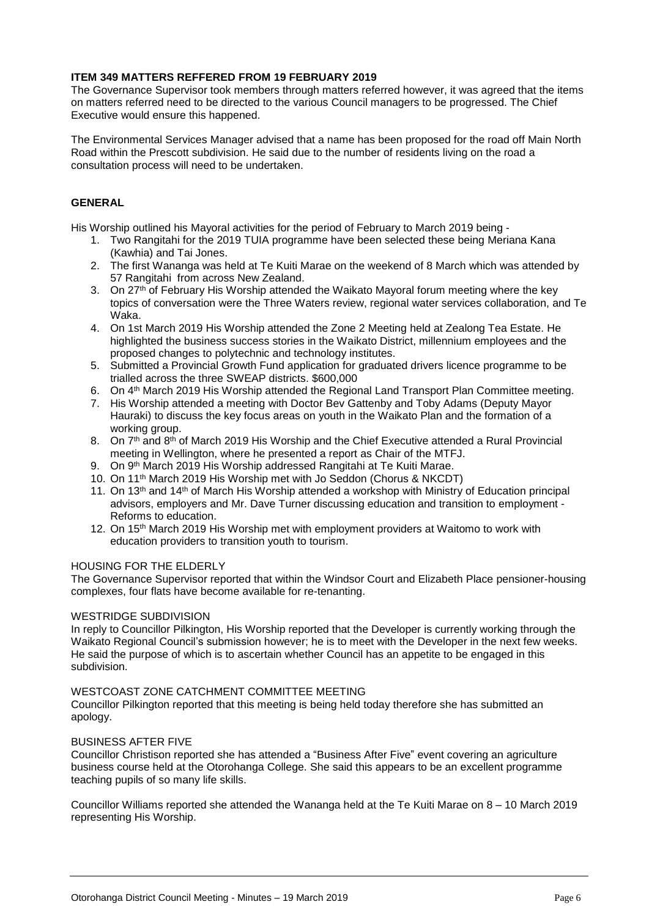#### **ITEM 349 MATTERS REFFERED FROM 19 FEBRUARY 2019**

The Governance Supervisor took members through matters referred however, it was agreed that the items on matters referred need to be directed to the various Council managers to be progressed. The Chief Executive would ensure this happened.

The Environmental Services Manager advised that a name has been proposed for the road off Main North Road within the Prescott subdivision. He said due to the number of residents living on the road a consultation process will need to be undertaken.

#### **GENERAL**

His Worship outlined his Mayoral activities for the period of February to March 2019 being -

- 1. Two Rangitahi for the 2019 TUIA programme have been selected these being Meriana Kana (Kawhia) and Tai Jones.
- 2. The first Wananga was held at Te Kuiti Marae on the weekend of 8 March which was attended by 57 Rangitahi from across New Zealand.
- 3. On 27<sup>th</sup> of February His Worship attended the Waikato Mayoral forum meeting where the key topics of conversation were the Three Waters review, regional water services collaboration, and Te Waka.
- 4. On 1st March 2019 His Worship attended the Zone 2 Meeting held at Zealong Tea Estate. He highlighted the business success stories in the Waikato District, millennium employees and the proposed changes to polytechnic and technology institutes.
- 5. Submitted a Provincial Growth Fund application for graduated drivers licence programme to be trialled across the three SWEAP districts. \$600,000
- 6. On 4th March 2019 His Worship attended the Regional Land Transport Plan Committee meeting.
- 7. His Worship attended a meeting with Doctor Bev Gattenby and Toby Adams (Deputy Mayor Hauraki) to discuss the key focus areas on youth in the Waikato Plan and the formation of a working group.
- 8. On 7<sup>th</sup> and 8<sup>th</sup> of March 2019 His Worship and the Chief Executive attended a Rural Provincial meeting in Wellington, where he presented a report as Chair of the MTFJ.
- 9. On 9th March 2019 His Worship addressed Rangitahi at Te Kuiti Marae.
- 10. On 11th March 2019 His Worship met with Jo Seddon (Chorus & NKCDT)
- 11. On 13<sup>th</sup> and 14<sup>th</sup> of March His Worship attended a workshop with Ministry of Education principal advisors, employers and Mr. Dave Turner discussing education and transition to employment - Reforms to education.
- 12. On 15<sup>th</sup> March 2019 His Worship met with employment providers at Waitomo to work with education providers to transition youth to tourism.

#### HOUSING FOR THE ELDERLY

The Governance Supervisor reported that within the Windsor Court and Elizabeth Place pensioner-housing complexes, four flats have become available for re-tenanting.

#### WESTRIDGE SUBDIVISION

In reply to Councillor Pilkington, His Worship reported that the Developer is currently working through the Waikato Regional Council's submission however; he is to meet with the Developer in the next few weeks. He said the purpose of which is to ascertain whether Council has an appetite to be engaged in this subdivision.

#### WESTCOAST ZONE CATCHMENT COMMITTEE MEETING

Councillor Pilkington reported that this meeting is being held today therefore she has submitted an apology.

#### BUSINESS AFTER FIVE

Councillor Christison reported she has attended a "Business After Five" event covering an agriculture business course held at the Otorohanga College. She said this appears to be an excellent programme teaching pupils of so many life skills.

Councillor Williams reported she attended the Wananga held at the Te Kuiti Marae on 8 – 10 March 2019 representing His Worship.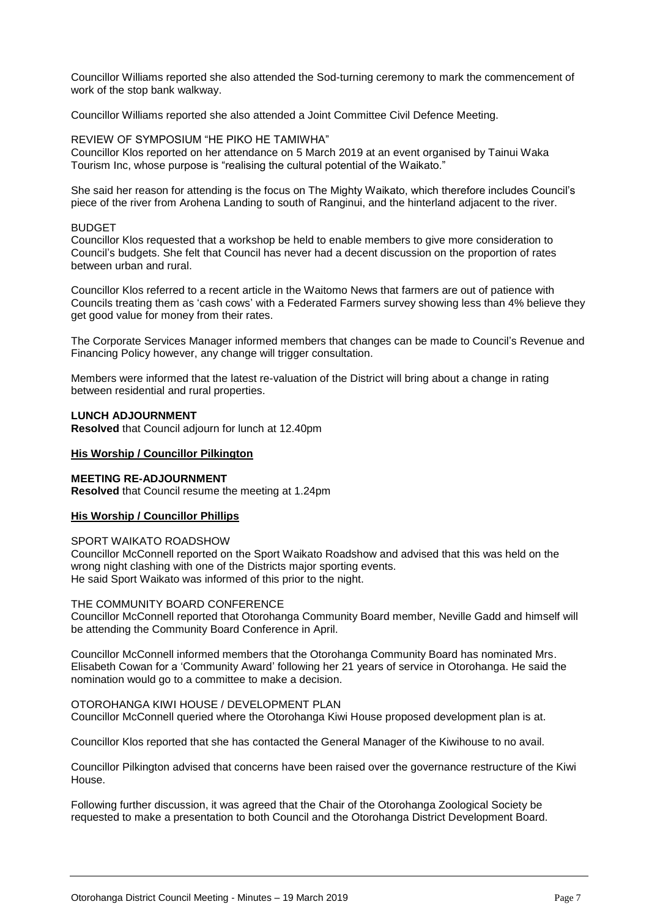Councillor Williams reported she also attended the Sod-turning ceremony to mark the commencement of work of the stop bank walkway.

Councillor Williams reported she also attended a Joint Committee Civil Defence Meeting.

REVIEW OF SYMPOSIUM "HE PIKO HE TAMIWHA" Councillor Klos reported on her attendance on 5 March 2019 at an event organised by Tainui Waka Tourism Inc, whose purpose is "realising the cultural potential of the Waikato."

She said her reason for attending is the focus on The Mighty Waikato, which therefore includes Council's piece of the river from Arohena Landing to south of Ranginui, and the hinterland adjacent to the river.

#### **BUDGET**

Councillor Klos requested that a workshop be held to enable members to give more consideration to Council's budgets. She felt that Council has never had a decent discussion on the proportion of rates between urban and rural.

Councillor Klos referred to a recent article in the Waitomo News that farmers are out of patience with Councils treating them as 'cash cows' with a Federated Farmers survey showing less than 4% believe they get good value for money from their rates.

The Corporate Services Manager informed members that changes can be made to Council's Revenue and Financing Policy however, any change will trigger consultation.

Members were informed that the latest re-valuation of the District will bring about a change in rating between residential and rural properties.

#### **LUNCH ADJOURNMENT**

**Resolved** that Council adjourn for lunch at 12.40pm

#### **His Worship / Councillor Pilkington**

#### **MEETING RE-ADJOURNMENT**

**Resolved** that Council resume the meeting at 1.24pm

#### **His Worship / Councillor Phillips**

#### SPORT WAIKATO ROADSHOW

Councillor McConnell reported on the Sport Waikato Roadshow and advised that this was held on the wrong night clashing with one of the Districts major sporting events. He said Sport Waikato was informed of this prior to the night.

#### THE COMMUNITY BOARD CONFERENCE

Councillor McConnell reported that Otorohanga Community Board member, Neville Gadd and himself will be attending the Community Board Conference in April.

Councillor McConnell informed members that the Otorohanga Community Board has nominated Mrs. Elisabeth Cowan for a 'Community Award' following her 21 years of service in Otorohanga. He said the nomination would go to a committee to make a decision.

#### OTOROHANGA KIWI HOUSE / DEVELOPMENT PLAN

Councillor McConnell queried where the Otorohanga Kiwi House proposed development plan is at.

Councillor Klos reported that she has contacted the General Manager of the Kiwihouse to no avail.

Councillor Pilkington advised that concerns have been raised over the governance restructure of the Kiwi House.

Following further discussion, it was agreed that the Chair of the Otorohanga Zoological Society be requested to make a presentation to both Council and the Otorohanga District Development Board.